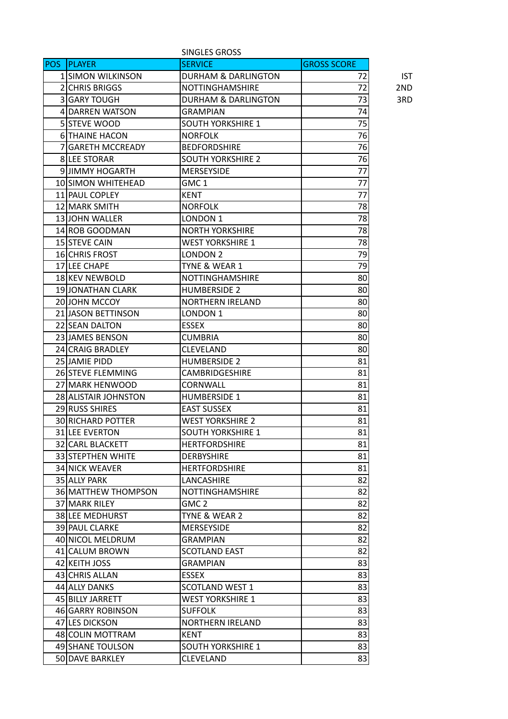| SINGLES GROSS |                           |                                |                    |            |
|---------------|---------------------------|--------------------------------|--------------------|------------|
| <b>POS</b>    | <b>PLAYER</b>             | <b>SERVICE</b>                 | <b>GROSS SCORE</b> |            |
|               | <b>1 SIMON WILKINSON</b>  | <b>DURHAM &amp; DARLINGTON</b> | 72                 | <b>IST</b> |
|               | <b>2 CHRIS BRIGGS</b>     | <b>NOTTINGHAMSHIRE</b>         | 72                 | 2ND        |
|               | 3 GARY TOUGH              | <b>DURHAM &amp; DARLINGTON</b> | 73                 | 3RD        |
|               | 4 DARREN WATSON           | <b>GRAMPIAN</b>                | 74                 |            |
|               | <b>5 STEVE WOOD</b>       | <b>SOUTH YORKSHIRE 1</b>       | 75                 |            |
|               | <b>6 THAINE HACON</b>     | <b>NORFOLK</b>                 | 76                 |            |
|               | <b>7 IGARETH MCCREADY</b> | <b>BEDFORDSHIRE</b>            | 76                 |            |
|               | <b>8 LEE STORAR</b>       | <b>SOUTH YORKSHIRE 2</b>       | 76                 |            |
|               | 9 JIMMY HOGARTH           | <b>MERSEYSIDE</b>              | 77                 |            |
|               | 10 SIMON WHITEHEAD        | GMC 1                          | 77                 |            |
|               | 11 PAUL COPLEY            | KENT                           | 77                 |            |
|               | 12 MARK SMITH             | <b>NORFOLK</b>                 | 78                 |            |
|               | 13 JOHN WALLER            | LONDON 1                       | 78                 |            |
|               | 14 ROB GOODMAN            | <b>NORTH YORKSHIRE</b>         | 78                 |            |
|               | 15 STEVE CAIN             | <b>WEST YORKSHIRE 1</b>        | 78                 |            |
|               | <b>16 CHRIS FROST</b>     | LONDON 2                       | 79                 |            |
|               | <b>17 ILEE CHAPE</b>      | TYNE & WEAR 1                  | 79                 |            |
|               | 18 KEV NEWBOLD            | NOTTINGHAMSHIRE                | 80                 |            |
|               | 19 JONATHAN CLARK         | <b>HUMBERSIDE 2</b>            | 80                 |            |
|               | 20 JOHN MCCOY             | <b>NORTHERN IRELAND</b>        | 80                 |            |
|               | 21 JASON BETTINSON        | LONDON 1                       | 80                 |            |
|               | <b>22 SEAN DALTON</b>     | <b>ESSEX</b>                   | 80                 |            |
|               | 23 JAMES BENSON           | <b>CUMBRIA</b>                 | 80                 |            |
|               | 24 CRAIG BRADLEY          | <b>CLEVELAND</b>               | 80                 |            |
|               | 25 JAMIE PIDD             | <b>HUMBERSIDE 2</b>            | 81                 |            |
|               | <b>26 STEVE FLEMMING</b>  | <b>CAMBRIDGESHIRE</b>          | 81                 |            |
|               | 27 MARK HENWOOD           | <b>CORNWALL</b>                | 81                 |            |
|               | 28 ALISTAIR JOHNSTON      | <b>HUMBERSIDE 1</b>            | 81                 |            |
|               | 29 RUSS SHIRES            | <b>EAST SUSSEX</b>             | 81                 |            |
|               | 30 RICHARD POTTER         | <b>WEST YORKSHIRE 2</b>        | 81                 |            |
|               | 31 LEE EVERTON            | <b>SOUTH YORKSHIRE 1</b>       | 81                 |            |
|               | 32 CARL BLACKETT          | <b>HERTFORDSHIRE</b>           | 81                 |            |
|               | 33 STEPTHEN WHITE         | <b>DERBYSHIRE</b>              | 81                 |            |
|               | 34 NICK WEAVER            | <b>HERTFORDSHIRE</b>           | 81                 |            |
|               | 35 ALLY PARK              | LANCASHIRE                     | 82                 |            |
|               | 36 MATTHEW THOMPSON       | <b>NOTTINGHAMSHIRE</b>         | 82                 |            |
|               | 37 MARK RILEY             | GMC <sub>2</sub>               | 82                 |            |
|               | 38 LEE MEDHURST           | TYNE & WEAR 2                  | 82                 |            |
|               | 39 PAUL CLARKE            | MERSEYSIDE                     | 82                 |            |
|               | 40 NICOL MELDRUM          | <b>GRAMPIAN</b>                | 82                 |            |
|               | 41 CALUM BROWN            | <b>SCOTLAND EAST</b>           | 82                 |            |
|               | 42 KEITH JOSS             | <b>GRAMPIAN</b>                | 83                 |            |
|               | 43 CHRIS ALLAN            | <b>ESSEX</b>                   | 83                 |            |
|               | 44 ALLY DANKS             | <b>SCOTLAND WEST 1</b>         | 83                 |            |
|               | 45 BILLY JARRETT          | <b>WEST YORKSHIRE 1</b>        | 83                 |            |
|               | 46 GARRY ROBINSON         | <b>SUFFOLK</b>                 | 83                 |            |
|               | 47 LES DICKSON            | <b>NORTHERN IRELAND</b>        | 83                 |            |
|               | 48 COLIN MOTTRAM          | KENT                           | 83                 |            |
|               | 49 SHANE TOULSON          | <b>SOUTH YORKSHIRE 1</b>       | 83                 |            |
|               | 50 DAVE BARKLEY           | <b>CLEVELAND</b>               | 83                 |            |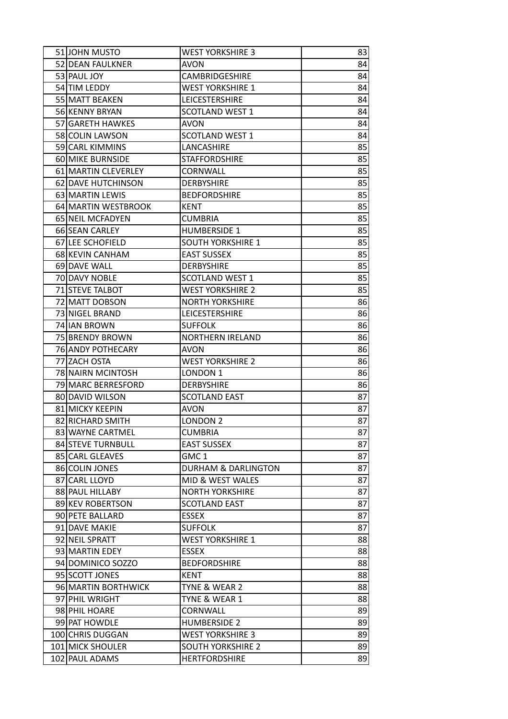| 51 JOHN MUSTO                      | <b>WEST YORKSHIRE 3</b>                          | 83       |
|------------------------------------|--------------------------------------------------|----------|
| 52 DEAN FAULKNER                   | <b>AVON</b>                                      | 84       |
| 53 PAUL JOY                        | <b>CAMBRIDGESHIRE</b>                            | 84       |
| 54 TIM LEDDY                       | <b>WEST YORKSHIRE 1</b>                          | 84       |
| 55 MATT BEAKEN                     | LEICESTERSHIRE                                   | 84       |
| 56 KENNY BRYAN                     | <b>SCOTLAND WEST 1</b>                           | 84       |
| 57 GARETH HAWKES                   | <b>AVON</b>                                      | 84       |
| 58 COLIN LAWSON                    | <b>SCOTLAND WEST 1</b>                           | 84       |
| 59 CARL KIMMINS                    | LANCASHIRE                                       | 85       |
| 60 MIKE BURNSIDE                   | <b>STAFFORDSHIRE</b>                             | 85       |
| 61 MARTIN CLEVERLEY                | CORNWALL                                         | 85       |
| 62 DAVE HUTCHINSON                 | <b>DERBYSHIRE</b>                                | 85       |
| 63 MARTIN LEWIS                    | <b>BEDFORDSHIRE</b>                              | 85       |
| 64 MARTIN WESTBROOK                | KENT                                             | 85       |
| 65 NEIL MCFADYEN                   | <b>CUMBRIA</b>                                   | 85       |
| 66 SEAN CARLEY                     | <b>HUMBERSIDE 1</b>                              | 85       |
| 67 LEE SCHOFIELD                   | <b>SOUTH YORKSHIRE 1</b>                         | 85       |
| 68 KEVIN CANHAM                    | <b>EAST SUSSEX</b>                               | 85       |
| 69 DAVE WALL                       | <b>DERBYSHIRE</b>                                | 85       |
| 70 DAVY NOBLE                      | SCOTLAND WEST 1                                  | 85       |
| 71 STEVE TALBOT                    | <b>WEST YORKSHIRE 2</b>                          | 85       |
| 72 MATT DOBSON                     | <b>NORTH YORKSHIRE</b>                           | 86       |
| 73 NIGEL BRAND                     | <b>LEICESTERSHIRE</b>                            | 86       |
| 74 IAN BROWN                       | <b>SUFFOLK</b>                                   | 86       |
| 75 BRENDY BROWN                    | <b>NORTHERN IRELAND</b>                          | 86       |
| 76 ANDY POTHECARY                  | AVON                                             | 86       |
| 77 ZACH OSTA                       | <b>WEST YORKSHIRE 2</b>                          | 86       |
| 78 NAIRN MCINTOSH                  | LONDON <sub>1</sub>                              | 86       |
| 79 MARC BERRESFORD                 | <b>DERBYSHIRE</b>                                | 86       |
| 80 DAVID WILSON                    | <b>SCOTLAND EAST</b>                             | 87       |
| 81 MICKY KEEPIN                    | AVON                                             | 87       |
| 82 RICHARD SMITH                   | LONDON <sub>2</sub>                              | 87       |
| 83 WAYNE CARTMEL                   | <b>CUMBRIA</b>                                   | 87       |
| 84 STEVE TURNBULL                  | <b>EAST SUSSEX</b>                               | 87       |
| 85 CARL GLEAVES                    | GMC <sub>1</sub>                                 | 87       |
| 86 COLIN JONES                     | <b>DURHAM &amp; DARLINGTON</b>                   | 87       |
| 87 CARL LLOYD                      | MID & WEST WALES                                 | 87       |
| 88 PAUL HILLABY                    | <b>NORTH YORKSHIRE</b>                           | 87       |
| 89 KEV ROBERTSON                   | <b>SCOTLAND EAST</b>                             | 87       |
| 90 PETE BALLARD                    | <b>ESSEX</b>                                     | 87       |
| 91 DAVE MAKIE                      | <b>SUFFOLK</b>                                   | 87       |
| 92 NEIL SPRATT                     | <b>WEST YORKSHIRE 1</b>                          | 88       |
| 93 MARTIN EDEY                     | <b>ESSEX</b>                                     | 88       |
| 94 DOMINICO SOZZO                  | <b>BEDFORDSHIRE</b>                              | 88       |
| 95 SCOTT JONES                     | KENT                                             | 88       |
|                                    |                                                  |          |
| 96 MARTIN BORTHWICK                | TYNE & WEAR 2                                    | 88       |
| 97 PHIL WRIGHT                     | TYNE & WEAR 1                                    | 88       |
| 98 PHIL HOARE                      | <b>CORNWALL</b>                                  | 89       |
| 99 PAT HOWDLE                      | <b>HUMBERSIDE 2</b>                              | 89       |
| 100 CHRIS DUGGAN                   | <b>WEST YORKSHIRE 3</b>                          | 89       |
| 101 MICK SHOULER<br>102 PAUL ADAMS | <b>SOUTH YORKSHIRE 2</b><br><b>HERTFORDSHIRE</b> | 89<br>89 |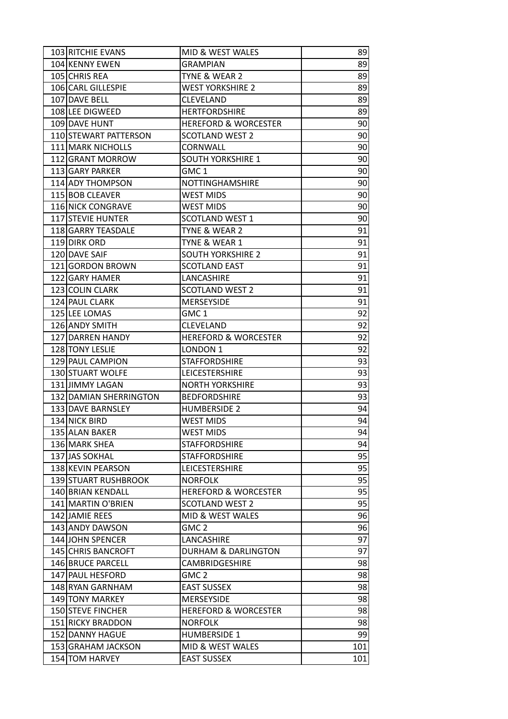| 103 RITCHIE EVANS      | MID & WEST WALES                | 89  |
|------------------------|---------------------------------|-----|
| 104 KENNY EWEN         | <b>GRAMPIAN</b>                 | 89  |
| 105 CHRIS REA          | TYNE & WEAR 2                   | 89  |
| 106 CARL GILLESPIE     | <b>WEST YORKSHIRE 2</b>         | 89  |
| 107 DAVE BELL          | <b>CLEVELAND</b>                | 89  |
| 108 LEE DIGWEED        | <b>HERTFORDSHIRE</b>            | 89  |
| 109 DAVE HUNT          | <b>HEREFORD &amp; WORCESTER</b> | 90  |
| 110 STEWART PATTERSON  | <b>SCOTLAND WEST 2</b>          | 90  |
| 111 MARK NICHOLLS      | CORNWALL                        | 90  |
| 112 GRANT MORROW       | <b>SOUTH YORKSHIRE 1</b>        | 90  |
| 113 GARY PARKER        | GMC <sub>1</sub>                | 90  |
| 114 ADY THOMPSON       | NOTTINGHAMSHIRE                 | 90  |
| 115 BOB CLEAVER        | <b>WEST MIDS</b>                | 90  |
| 116 NICK CONGRAVE      | <b>WEST MIDS</b>                | 90  |
| 117 STEVIE HUNTER      | <b>SCOTLAND WEST 1</b>          | 90  |
| 118 GARRY TEASDALE     | TYNE & WEAR 2                   | 91  |
| 119 DIRK ORD           | TYNE & WEAR 1                   | 91  |
| 120 DAVE SAIF          | <b>SOUTH YORKSHIRE 2</b>        | 91  |
| 121 GORDON BROWN       | <b>SCOTLAND EAST</b>            | 91  |
| 122 GARY HAMER         | LANCASHIRE                      | 91  |
| 123 COLIN CLARK        | <b>SCOTLAND WEST 2</b>          | 91  |
| 124 PAUL CLARK         | MERSEYSIDE                      | 91  |
| 125 LEE LOMAS          | GMC <sub>1</sub>                | 92  |
| 126 ANDY SMITH         | CLEVELAND                       | 92  |
| 127 DARREN HANDY       | <b>HEREFORD &amp; WORCESTER</b> | 92  |
| 128 TONY LESLIE        | LONDON <sub>1</sub>             | 92  |
| 129 PAUL CAMPION       | <b>STAFFORDSHIRE</b>            | 93  |
| 130 STUART WOLFE       | LEICESTERSHIRE                  | 93  |
| 131 JIMMY LAGAN        | <b>NORTH YORKSHIRE</b>          | 93  |
| 132 DAMIAN SHERRINGTON | <b>BEDFORDSHIRE</b>             | 93  |
| 133 DAVE BARNSLEY      | <b>HUMBERSIDE 2</b>             | 94  |
| 134 NICK BIRD          | <b>WEST MIDS</b>                | 94  |
| 135 ALAN BAKER         | <b>WEST MIDS</b>                | 94  |
| 136 MARK SHEA          | <b>STAFFORDSHIRE</b>            | 94  |
| 137 JAS SOKHAL         | <b>STAFFORDSHIRE</b>            | 95  |
| 138 KEVIN PEARSON      | LEICESTERSHIRE                  | 95  |
| 139 STUART RUSHBROOK   | <b>NORFOLK</b>                  | 95  |
| 140 BRIAN KENDALL      | <b>HEREFORD &amp; WORCESTER</b> | 95  |
| 141 MARTIN O'BRIEN     | <b>SCOTLAND WEST 2</b>          | 95  |
| 142 JAMIE REES         | MID & WEST WALES                | 96  |
| 143 ANDY DAWSON        | GMC <sub>2</sub>                | 96  |
| 144 JOHN SPENCER       | LANCASHIRE                      | 97  |
| 145 CHRIS BANCROFT     | <b>DURHAM &amp; DARLINGTON</b>  | 97  |
| 146 BRUCE PARCELL      | <b>CAMBRIDGESHIRE</b>           | 98  |
| 147 PAUL HESFORD       | GMC 2                           | 98  |
| 148 RYAN GARNHAM       | <b>EAST SUSSEX</b>              | 98  |
| 149 TONY MARKEY        | <b>MERSEYSIDE</b>               | 98  |
| 150 STEVE FINCHER      | <b>HEREFORD &amp; WORCESTER</b> | 98  |
| 151 RICKY BRADDON      | <b>NORFOLK</b>                  | 98  |
| 152 DANNY HAGUE        | <b>HUMBERSIDE 1</b>             | 99  |
| 153 GRAHAM JACKSON     | MID & WEST WALES                | 101 |
| 154 TOM HARVEY         | <b>EAST SUSSEX</b>              | 101 |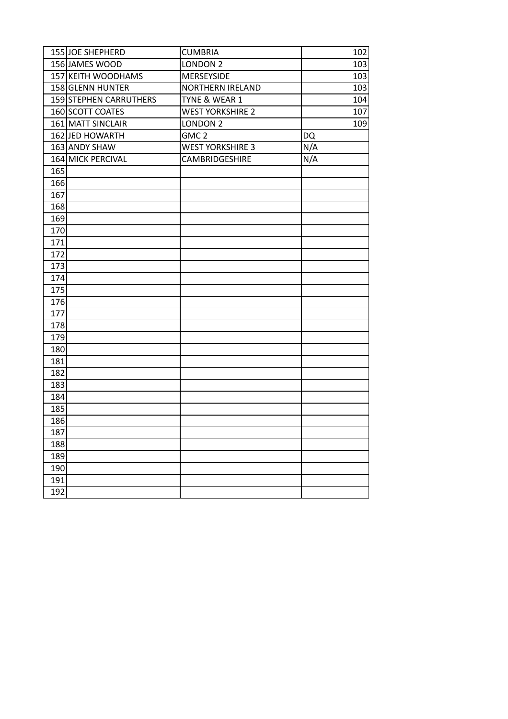|     | 155 JOE SHEPHERD       | <b>CUMBRIA</b>          | 102 |
|-----|------------------------|-------------------------|-----|
|     | 156 JAMES WOOD         | <b>LONDON 2</b>         | 103 |
|     | 157 KEITH WOODHAMS     | <b>MERSEYSIDE</b>       | 103 |
|     | 158 GLENN HUNTER       | <b>NORTHERN IRELAND</b> | 103 |
|     | 159 STEPHEN CARRUTHERS | TYNE & WEAR 1           | 104 |
|     | 160 SCOTT COATES       | <b>WEST YORKSHIRE 2</b> | 107 |
|     | 161 MATT SINCLAIR      | LONDON <sub>2</sub>     | 109 |
|     | 162 JED HOWARTH        | GMC <sub>2</sub>        | DQ  |
|     | 163 ANDY SHAW          | <b>WEST YORKSHIRE 3</b> | N/A |
|     | 164 MICK PERCIVAL      | CAMBRIDGESHIRE          | N/A |
| 165 |                        |                         |     |
| 166 |                        |                         |     |
| 167 |                        |                         |     |
| 168 |                        |                         |     |
| 169 |                        |                         |     |
| 170 |                        |                         |     |
| 171 |                        |                         |     |
| 172 |                        |                         |     |
| 173 |                        |                         |     |
| 174 |                        |                         |     |
| 175 |                        |                         |     |
| 176 |                        |                         |     |
| 177 |                        |                         |     |
| 178 |                        |                         |     |
| 179 |                        |                         |     |
| 180 |                        |                         |     |
| 181 |                        |                         |     |
| 182 |                        |                         |     |
| 183 |                        |                         |     |
| 184 |                        |                         |     |
| 185 |                        |                         |     |
| 186 |                        |                         |     |
| 187 |                        |                         |     |
| 188 |                        |                         |     |
| 189 |                        |                         |     |
| 190 |                        |                         |     |
| 191 |                        |                         |     |
| 192 |                        |                         |     |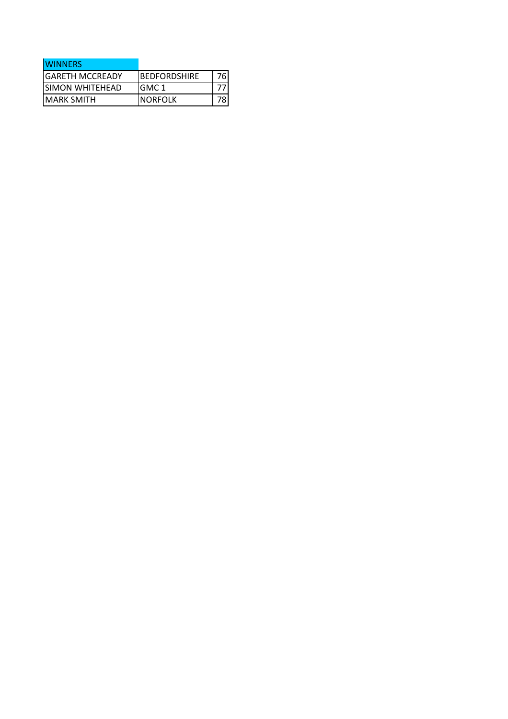| <b>WINNERS</b>         |                      |  |
|------------------------|----------------------|--|
| <b>GARETH MCCREADY</b> | <b>IBEDFORDSHIRE</b> |  |
| ISIMON WHITEHEAD       | IGMC 1               |  |
| <b>IMARK SMITH</b>     | <b>INORFOLK</b>      |  |